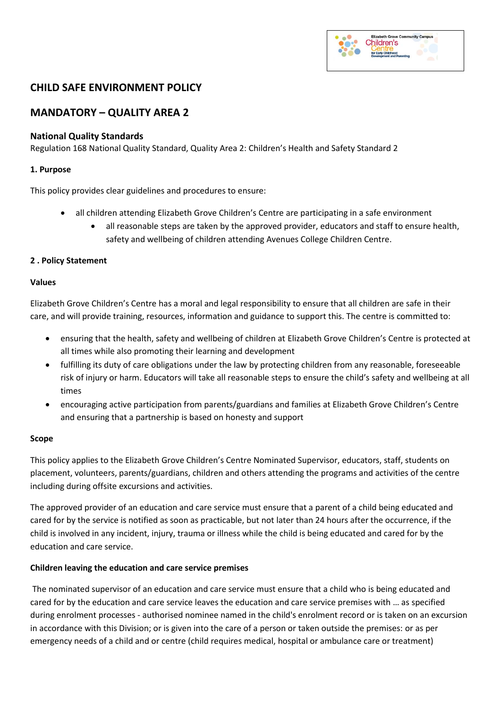# **Elizabeth Grove Community Campus** Children's

# **CHILD SAFE ENVIRONMENT POLICY**

# **MANDATORY – QUALITY AREA 2**

#### **National Quality Standards**

Regulation 168 National Quality Standard, Quality Area 2: Children's Health and Safety Standard 2

#### **1. Purpose**

This policy provides clear guidelines and procedures to ensure:

- all children attending Elizabeth Grove Children's Centre are participating in a safe environment
	- all reasonable steps are taken by the approved provider, educators and staff to ensure health, safety and wellbeing of children attending Avenues College Children Centre.

#### **2 . Policy Statement**

#### **Values**

Elizabeth Grove Children's Centre has a moral and legal responsibility to ensure that all children are safe in their care, and will provide training, resources, information and guidance to support this. The centre is committed to:

- ensuring that the health, safety and wellbeing of children at Elizabeth Grove Children's Centre is protected at all times while also promoting their learning and development
- fulfilling its duty of care obligations under the law by protecting children from any reasonable, foreseeable risk of injury or harm. Educators will take all reasonable steps to ensure the child's safety and wellbeing at all times
- encouraging active participation from parents/guardians and families at Elizabeth Grove Children's Centre and ensuring that a partnership is based on honesty and support

#### **Scope**

This policy applies to the Elizabeth Grove Children's Centre Nominated Supervisor, educators, staff, students on placement, volunteers, parents/guardians, children and others attending the programs and activities of the centre including during offsite excursions and activities.

The approved provider of an education and care service must ensure that a parent of a child being educated and cared for by the service is notified as soon as practicable, but not later than 24 hours after the occurrence, if the child is involved in any incident, injury, trauma or illness while the child is being educated and cared for by the education and care service.

#### **Children leaving the education and care service premises**

The nominated supervisor of an education and care service must ensure that a child who is being educated and cared for by the education and care service leaves the education and care service premises with … as specified during enrolment processes - authorised nominee named in the child's enrolment record or is taken on an excursion in accordance with this Division; or is given into the care of a person or taken outside the premises: or as per emergency needs of a child and or centre (child requires medical, hospital or ambulance care or treatment)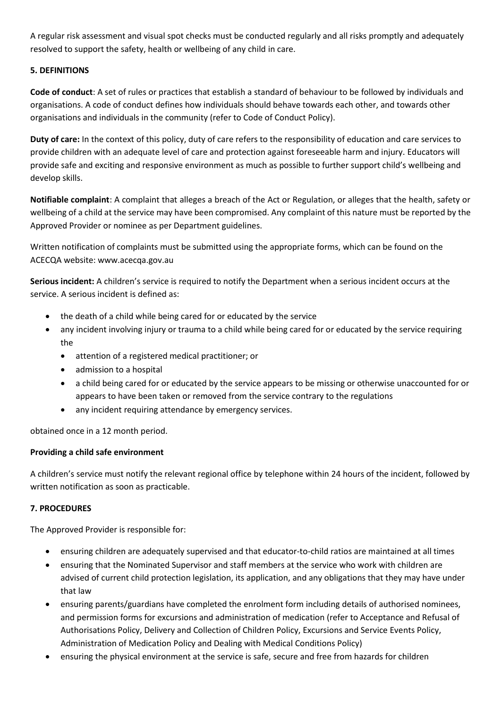A regular risk assessment and visual spot checks must be conducted regularly and all risks promptly and adequately resolved to support the safety, health or wellbeing of any child in care.

### **5. DEFINITIONS**

**Code of conduct**: A set of rules or practices that establish a standard of behaviour to be followed by individuals and organisations. A code of conduct defines how individuals should behave towards each other, and towards other organisations and individuals in the community (refer to Code of Conduct Policy).

**Duty of care:** In the context of this policy, duty of care refers to the responsibility of education and care services to provide children with an adequate level of care and protection against foreseeable harm and injury. Educators will provide safe and exciting and responsive environment as much as possible to further support child's wellbeing and develop skills.

**Notifiable complaint**: A complaint that alleges a breach of the Act or Regulation, or alleges that the health, safety or wellbeing of a child at the service may have been compromised. Any complaint of this nature must be reported by the Approved Provider or nominee as per Department guidelines.

Written notification of complaints must be submitted using the appropriate forms, which can be found on the ACECQA website: www.acecqa.gov.au

**Serious incident:** A children's service is required to notify the Department when a serious incident occurs at the service. A serious incident is defined as:

- the death of a child while being cared for or educated by the service
- any incident involving injury or trauma to a child while being cared for or educated by the service requiring the
	- attention of a registered medical practitioner; or
	- admission to a hospital
	- a child being cared for or educated by the service appears to be missing or otherwise unaccounted for or appears to have been taken or removed from the service contrary to the regulations
	- any incident requiring attendance by emergency services.

obtained once in a 12 month period.

## **Providing a child safe environment**

A children's service must notify the relevant regional office by telephone within 24 hours of the incident, followed by written notification as soon as practicable.

## **7. PROCEDURES**

The Approved Provider is responsible for:

- ensuring children are adequately supervised and that educator-to-child ratios are maintained at all times
- ensuring that the Nominated Supervisor and staff members at the service who work with children are advised of current child protection legislation, its application, and any obligations that they may have under that law
- ensuring parents/guardians have completed the enrolment form including details of authorised nominees, and permission forms for excursions and administration of medication (refer to Acceptance and Refusal of Authorisations Policy, Delivery and Collection of Children Policy, Excursions and Service Events Policy, Administration of Medication Policy and Dealing with Medical Conditions Policy)
- ensuring the physical environment at the service is safe, secure and free from hazards for children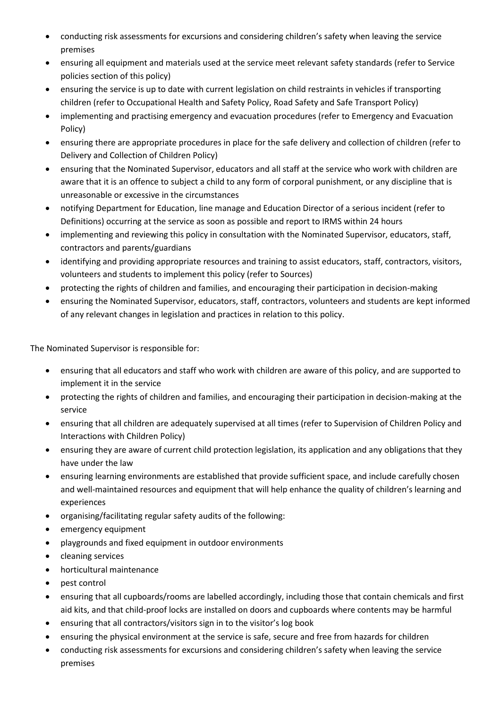- conducting risk assessments for excursions and considering children's safety when leaving the service premises
- ensuring all equipment and materials used at the service meet relevant safety standards (refer to Service policies section of this policy)
- ensuring the service is up to date with current legislation on child restraints in vehicles if transporting children (refer to Occupational Health and Safety Policy, Road Safety and Safe Transport Policy)
- implementing and practising emergency and evacuation procedures (refer to Emergency and Evacuation Policy)
- ensuring there are appropriate procedures in place for the safe delivery and collection of children (refer to Delivery and Collection of Children Policy)
- ensuring that the Nominated Supervisor, educators and all staff at the service who work with children are aware that it is an offence to subject a child to any form of corporal punishment, or any discipline that is unreasonable or excessive in the circumstances
- notifying Department for Education, line manage and Education Director of a serious incident (refer to Definitions) occurring at the service as soon as possible and report to IRMS within 24 hours
- implementing and reviewing this policy in consultation with the Nominated Supervisor, educators, staff, contractors and parents/guardians
- identifying and providing appropriate resources and training to assist educators, staff, contractors, visitors, volunteers and students to implement this policy (refer to Sources)
- protecting the rights of children and families, and encouraging their participation in decision-making
- ensuring the Nominated Supervisor, educators, staff, contractors, volunteers and students are kept informed of any relevant changes in legislation and practices in relation to this policy.

The Nominated Supervisor is responsible for:

- ensuring that all educators and staff who work with children are aware of this policy, and are supported to implement it in the service
- protecting the rights of children and families, and encouraging their participation in decision-making at the service
- ensuring that all children are adequately supervised at all times (refer to Supervision of Children Policy and Interactions with Children Policy)
- ensuring they are aware of current child protection legislation, its application and any obligations that they have under the law
- ensuring learning environments are established that provide sufficient space, and include carefully chosen and well-maintained resources and equipment that will help enhance the quality of children's learning and experiences
- organising/facilitating regular safety audits of the following:
- emergency equipment
- playgrounds and fixed equipment in outdoor environments
- cleaning services
- horticultural maintenance
- pest control
- ensuring that all cupboards/rooms are labelled accordingly, including those that contain chemicals and first aid kits, and that child-proof locks are installed on doors and cupboards where contents may be harmful
- ensuring that all contractors/visitors sign in to the visitor's log book
- ensuring the physical environment at the service is safe, secure and free from hazards for children
- conducting risk assessments for excursions and considering children's safety when leaving the service premises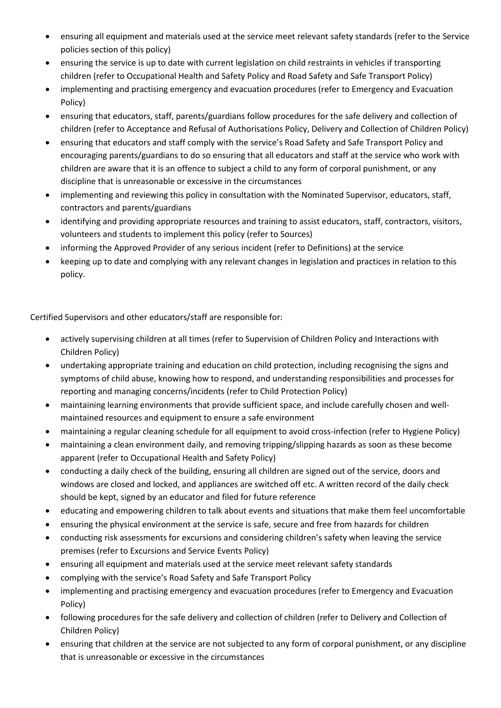- ensuring all equipment and materials used at the service meet relevant safety standards (refer to the Service policies section of this policy)
- ensuring the service is up to date with current legislation on child restraints in vehicles if transporting children (refer to Occupational Health and Safety Policy and Road Safety and Safe Transport Policy)
- implementing and practising emergency and evacuation procedures (refer to Emergency and Evacuation Policy)
- ensuring that educators, staff, parents/guardians follow procedures for the safe delivery and collection of children (refer to Acceptance and Refusal of Authorisations Policy, Delivery and Collection of Children Policy)
- ensuring that educators and staff comply with the service's Road Safety and Safe Transport Policy and encouraging parents/guardians to do so ensuring that all educators and staff at the service who work with children are aware that it is an offence to subject a child to any form of corporal punishment, or any discipline that is unreasonable or excessive in the circumstances
- implementing and reviewing this policy in consultation with the Nominated Supervisor, educators, staff, contractors and parents/guardians
- identifying and providing appropriate resources and training to assist educators, staff, contractors, visitors, volunteers and students to implement this policy (refer to Sources)
- informing the Approved Provider of any serious incident (refer to Definitions) at the service
- keeping up to date and complying with any relevant changes in legislation and practices in relation to this policy.

Certified Supervisors and other educators/staff are responsible for:

- actively supervising children at all times (refer to Supervision of Children Policy and Interactions with Children Policy)
- undertaking appropriate training and education on child protection, including recognising the signs and symptoms of child abuse, knowing how to respond, and understanding responsibilities and processes for reporting and managing concerns/incidents (refer to Child Protection Policy)
- maintaining learning environments that provide sufficient space, and include carefully chosen and wellmaintained resources and equipment to ensure a safe environment
- maintaining a regular cleaning schedule for all equipment to avoid cross-infection (refer to Hygiene Policy)
- maintaining a clean environment daily, and removing tripping/slipping hazards as soon as these become apparent (refer to Occupational Health and Safety Policy)
- conducting a daily check of the building, ensuring all children are signed out of the service, doors and windows are closed and locked, and appliances are switched off etc. A written record of the daily check should be kept, signed by an educator and filed for future reference
- educating and empowering children to talk about events and situations that make them feel uncomfortable
- ensuring the physical environment at the service is safe, secure and free from hazards for children
- conducting risk assessments for excursions and considering children's safety when leaving the service premises (refer to Excursions and Service Events Policy)
- ensuring all equipment and materials used at the service meet relevant safety standards
- complying with the service's Road Safety and Safe Transport Policy
- implementing and practising emergency and evacuation procedures (refer to Emergency and Evacuation Policy)
- following procedures for the safe delivery and collection of children (refer to Delivery and Collection of Children Policy)
- ensuring that children at the service are not subjected to any form of corporal punishment, or any discipline that is unreasonable or excessive in the circumstances